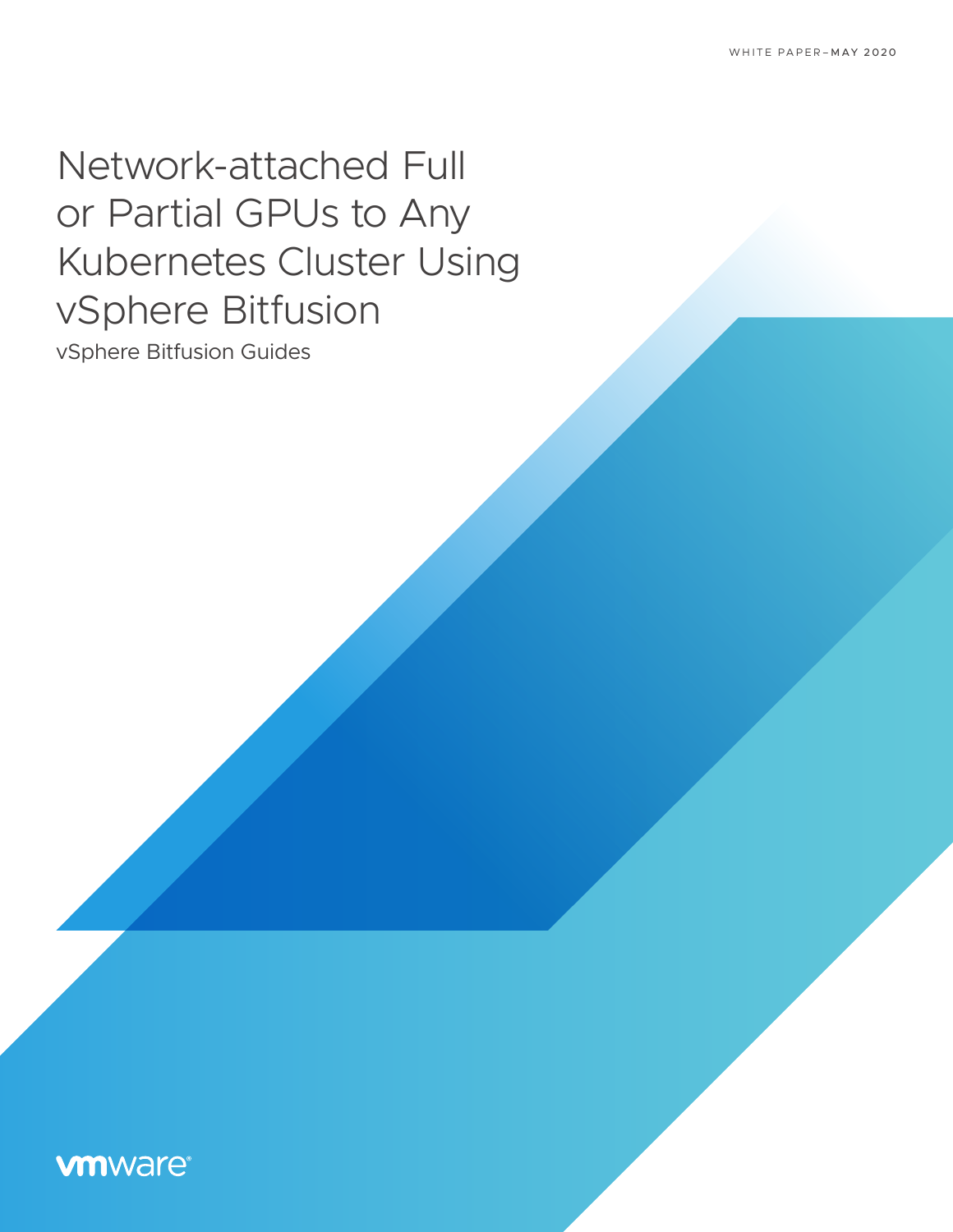# Network-attached Full or Partial GPUs to Any Kubernetes Cluster Using vSphere Bitfusion

vSphere Bitfusion Guides

## **vmware®**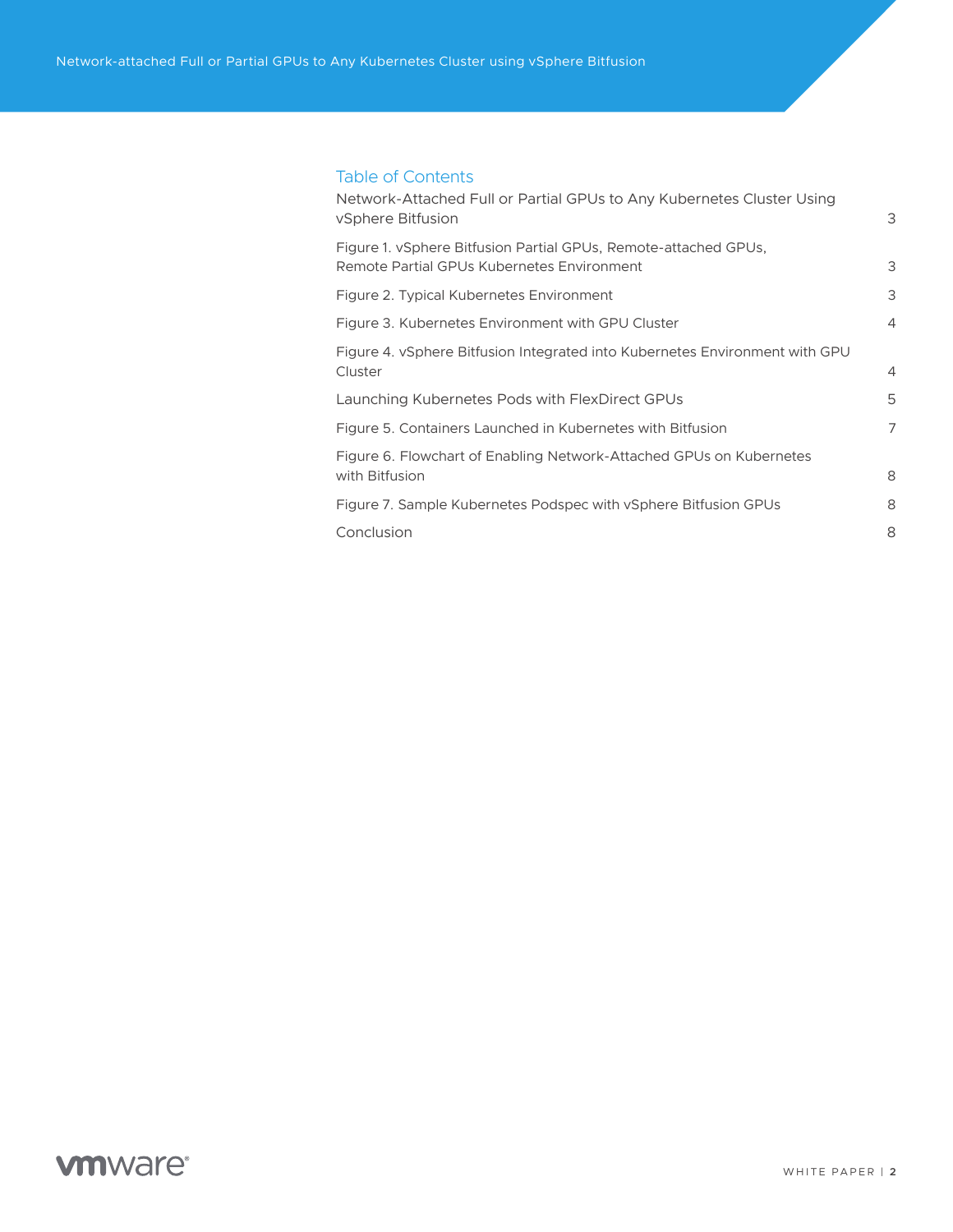#### Table of Contents

| Network-Attached Full or Partial GPUs to Any Kubernetes Cluster Using<br>vSphere Bitfusion                    | 3              |
|---------------------------------------------------------------------------------------------------------------|----------------|
| Figure 1. vSphere Bitfusion Partial GPUs, Remote-attached GPUs,<br>Remote Partial GPUs Kubernetes Environment | 3              |
| Figure 2. Typical Kubernetes Environment                                                                      | 3              |
| Figure 3. Kubernetes Environment with GPU Cluster                                                             | $\overline{4}$ |
| Figure 4. vSphere Bitfusion Integrated into Kubernetes Environment with GPU<br>Cluster                        | $\overline{4}$ |
| Launching Kubernetes Pods with FlexDirect GPUs                                                                | 5              |
| Figure 5. Containers Launched in Kubernetes with Bitfusion                                                    | 7              |
| Figure 6. Flowchart of Enabling Network-Attached GPUs on Kubernetes<br>with Bitfusion                         | 8              |
| Figure 7. Sample Kubernetes Podspec with vSphere Bitfusion GPUs                                               | 8              |
| Conclusion                                                                                                    | 8              |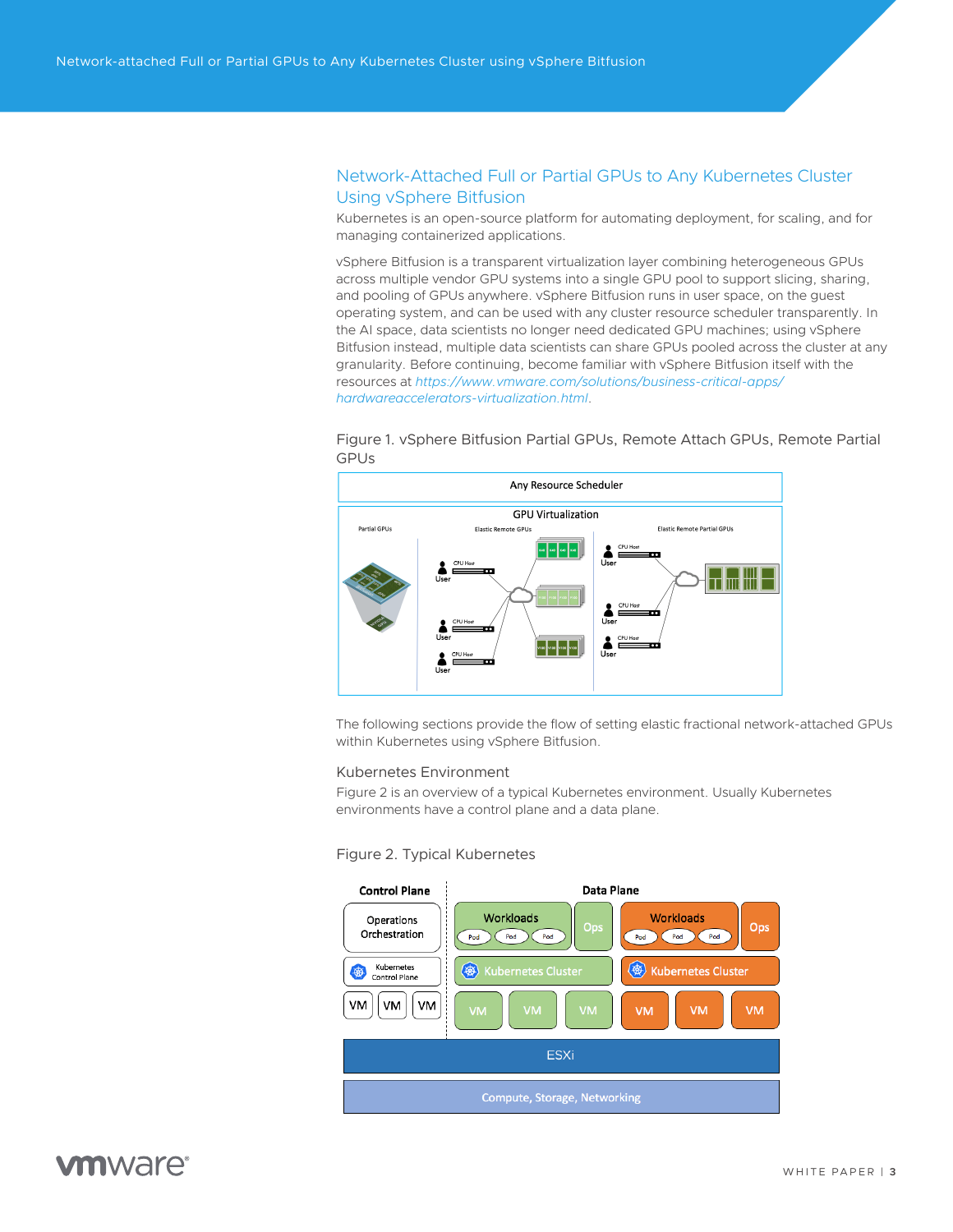### <span id="page-2-0"></span>Network-Attached Full or Partial GPUs to Any Kubernetes Cluster Using vSphere Bitfusion

Kubernetes is an open-source platform for automating deployment, for scaling, and for managing containerized applications.

vSphere Bitfusion is a transparent virtualization layer combining heterogeneous GPUs across multiple vendor GPU systems into a single GPU pool to support slicing, sharing, and pooling of GPUs anywhere. vSphere Bitfusion runs in user space, on the guest operating system, and can be used with any cluster resource scheduler transparently. In the AI space, data scientists no longer need dedicated GPU machines; using vSphere Bitfusion instead, multiple data scientists can share GPUs pooled across the cluster at any granularity. Before continuing, become familiar with vSphere Bitfusion itself with the resources at *[https://www.vmware.com/solutions/business-critical-apps/](https://www.vmware.com/solutions/business-critical-apps/hardwareaccelerators-virtualization.html) [hardwareaccelerators-virtualization.html](https://www.vmware.com/solutions/business-critical-apps/hardwareaccelerators-virtualization.html)*.

Figure 1. vSphere Bitfusion Partial GPUs, Remote Attach GPUs, Remote Partial GPUs



The following sections provide the flow of setting elastic fractional network-attached GPUs within Kubernetes using vSphere Bitfusion.

#### Kubernetes Environment

Figure 2 is an overview of a typical Kubernetes environment. Usually Kubernetes environments have a control plane and a data plane.

#### Figure 2. Typical Kubernetes

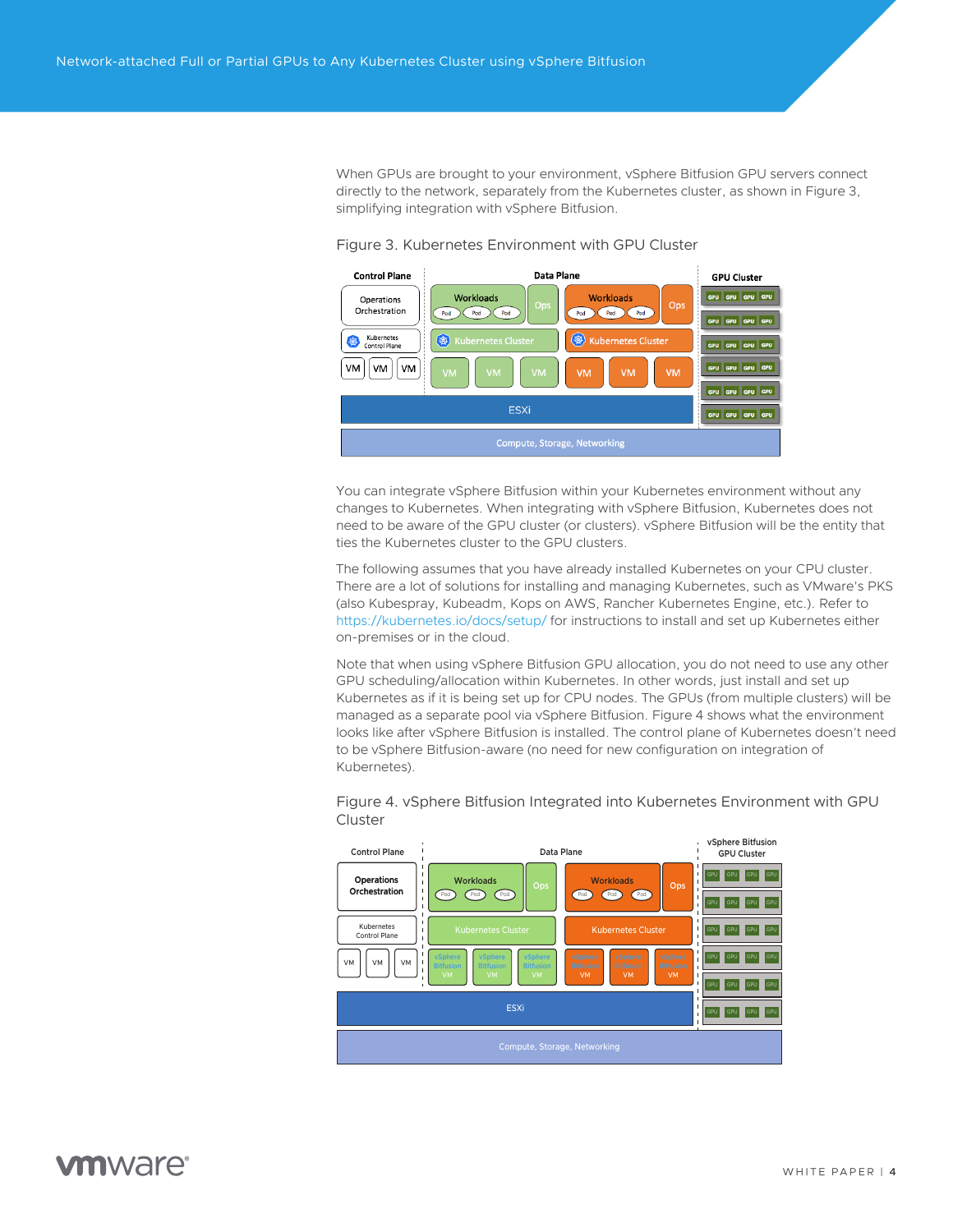<span id="page-3-0"></span>When GPUs are brought to your environment, vSphere Bitfusion GPU servers connect directly to the network, separately from the Kubernetes cluster, as shown in Figure 3, simplifying integration with vSphere Bitfusion.



Figure 3. Kubernetes Environment with GPU Cluster

You can integrate vSphere Bitfusion within your Kubernetes environment without any changes to Kubernetes. When integrating with vSphere Bitfusion, Kubernetes does not need to be aware of the GPU cluster (or clusters). vSphere Bitfusion will be the entity that ties the Kubernetes cluster to the GPU clusters.

The following assumes that you have already installed Kubernetes on your CPU cluster. There are a lot of solutions for installing and managing Kubernetes, such as VMware's PKS (also Kubespray, Kubeadm, Kops on AWS, Rancher Kubernetes Engine, etc.). Refer to <https://kubernetes.io/docs/setup/> for instructions to install and set up Kubernetes either on-premises or in the cloud.

Note that when using vSphere Bitfusion GPU allocation, you do not need to use any other GPU scheduling/allocation within Kubernetes. In other words, just install and set up Kubernetes as if it is being set up for CPU nodes. The GPUs (from multiple clusters) will be managed as a separate pool via vSphere Bitfusion. Figure 4 shows what the environment looks like after vSphere Bitfusion is installed. The control plane of Kubernetes doesn't need to be vSphere Bitfusion-aware (no need for new configuration on integration of Kubernetes).



Figure 4. vSphere Bitfusion Integrated into Kubernetes Environment with GPU Cluster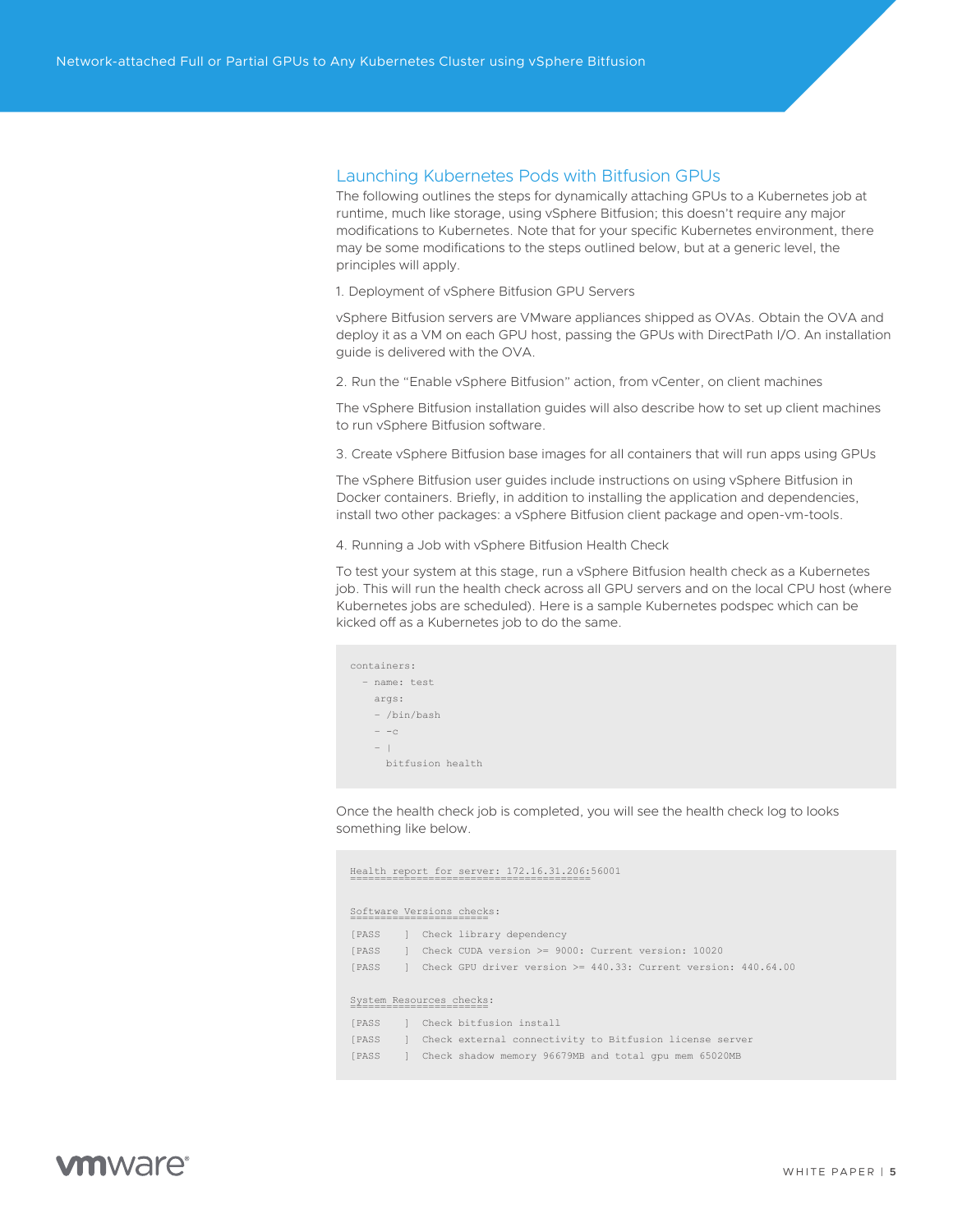#### <span id="page-4-0"></span>Launching Kubernetes Pods with Bitfusion GPUs

The following outlines the steps for dynamically attaching GPUs to a Kubernetes job at runtime, much like storage, using vSphere Bitfusion; this doesn't require any major modifications to Kubernetes. Note that for your specific Kubernetes environment, there may be some modifications to the steps outlined below, but at a generic level, the principles will apply.

1. Deployment of vSphere Bitfusion GPU Servers

vSphere Bitfusion servers are VMware appliances shipped as OVAs. Obtain the OVA and deploy it as a VM on each GPU host, passing the GPUs with DirectPath I/O. An installation guide is delivered with the OVA.

2. Run the "Enable vSphere Bitfusion" action, from vCenter, on client machines

The vSphere Bitfusion installation guides will also describe how to set up client machines to run vSphere Bitfusion software.

3. Create vSphere Bitfusion base images for all containers that will run apps using GPUs

The vSphere Bitfusion user guides include instructions on using vSphere Bitfusion in Docker containers. Briefly, in addition to installing the application and dependencies, install two other packages: a vSphere Bitfusion client package and open-vm-tools.

4. Running a Job with vSphere Bitfusion Health Check

To test your system at this stage, run a vSphere Bitfusion health check as a Kubernetes job. This will run the health check across all GPU servers and on the local CPU host (where Kubernetes jobs are scheduled). Here is a sample Kubernetes podspec which can be kicked off as a Kubernetes job to do the same.

|              | containers:      |  |  |  |
|--------------|------------------|--|--|--|
| - name: test |                  |  |  |  |
|              | args:            |  |  |  |
|              | - /bin/bash      |  |  |  |
|              | $- -c$           |  |  |  |
|              | $ \vert$         |  |  |  |
|              | bitfusion health |  |  |  |
|              |                  |  |  |  |

Once the health check job is completed, you will see the health check log to looks something like below.

#### Health report for server: 172.16.31.206:56001 ========================================

#### Software Versions checks: =======================

| [PASS               | Check library dependency                                            |
|---------------------|---------------------------------------------------------------------|
| <b>[PASS</b>        | Check CUDA version >= 9000: Current version: 10020                  |
| <b><i>IPASS</i></b> | Check GPU driver version $>= 440.33$ : Current version: $440.64.00$ |
|                     |                                                                     |
|                     | System Resources checks:                                            |
| <b><i>IPASS</i></b> | Check bitfusion install                                             |
| <b>[PASS</b>        | Check external connectivity to Bitfusion license server             |
| <b>[PASS</b>        | Check shadow memory 96679MB and total qpu mem 65020MB               |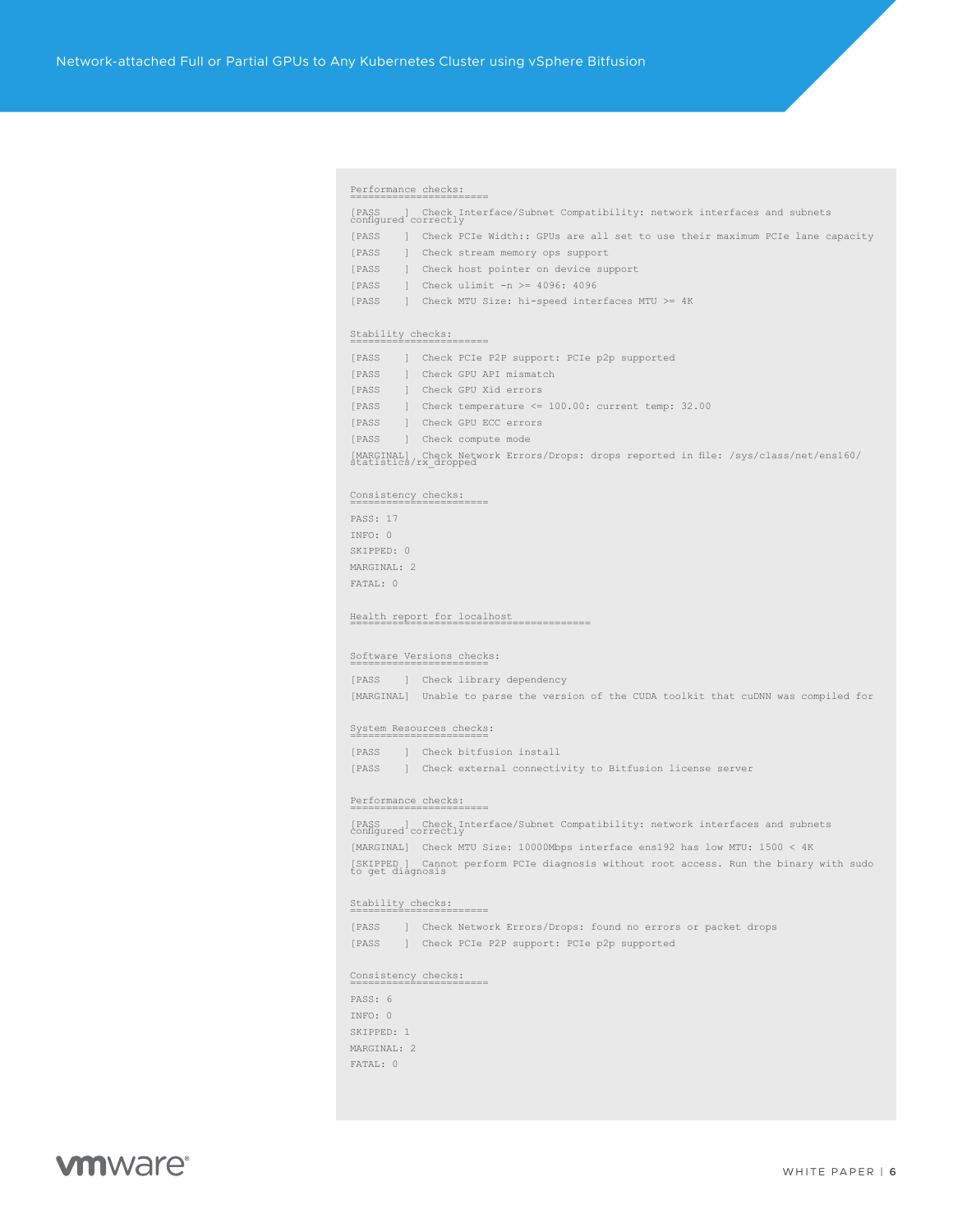#### Performance checks: =======================

[PASS ] Check Interface/Subnet Compatibility: network interfaces and subnets configured correctly [PASS ] Check PCIe Width:: GPUs are all set to use their maximum PCIe lane capacity

[PASS ] Check stream memory ops support [PASS ] Check host pointer on device support

[PASS ] Check ulimit -n >= 4096: 4096 [PASS ] Check MTU Size: hi-speed interfaces MTU >= 4K

#### Stability checks: =======================

| <b>[PASS</b> | Check PCIe P2P support: PCIe p2p supported                                                                                   |
|--------------|------------------------------------------------------------------------------------------------------------------------------|
| <b>[PASS</b> | Check GPU API mismatch                                                                                                       |
| <b>[PASS</b> | Check GPU Xid errors                                                                                                         |
| <b>[PASS</b> | Check temperature $\leq 100.00$ : current temp: 32.00                                                                        |
| <b>[PASS</b> | Check GPU ECC errors                                                                                                         |
| <b>[PASS</b> | Check compute mode                                                                                                           |
|              | Check Network Errors/Drops: drops reported in file: /sys/class/net/ens160/<br>[MARGINAL] Check Netw<br>statistics/rx dropped |

#### Consistency checks: =======================

PASS: 17 INFO: 0 SKIPPED: 0 MARGINAL: 2 FATAL: 0

Health report for localhost ========================================

#### Software Versions checks: =======================

[PASS ] Check library dependency [MARGINAL] Unable to parse the version of the CUDA toolkit that cuDNN was compiled for

#### System Resources checks: =======================

[PASS ] Check bitfusion install [PASS ] Check external connectivity to Bitfusion license server

#### Performance checks: =======================

[PASS ] Check Interface/Subnet Compatibility: network interfaces and subnets configured correctly [MARGINAL] Check MTU Size: 10000Mbps interface ens192 has low MTU: 1500 < 4K [SKIPPED ] Cannot perform PCIe diagnosis without root access. Run the binary with sudo to get diagnosis

Stability checks: ======================= [PASS ] Check Network Errors/Drops: found no errors or packet drops [PASS ] Check PCIe P2P support: PCIe p2p supported

Consistency checks: =======================

PASS: 6 INFO: 0 SKIPPED: 1 MARGINAL: 2 FATAL: 0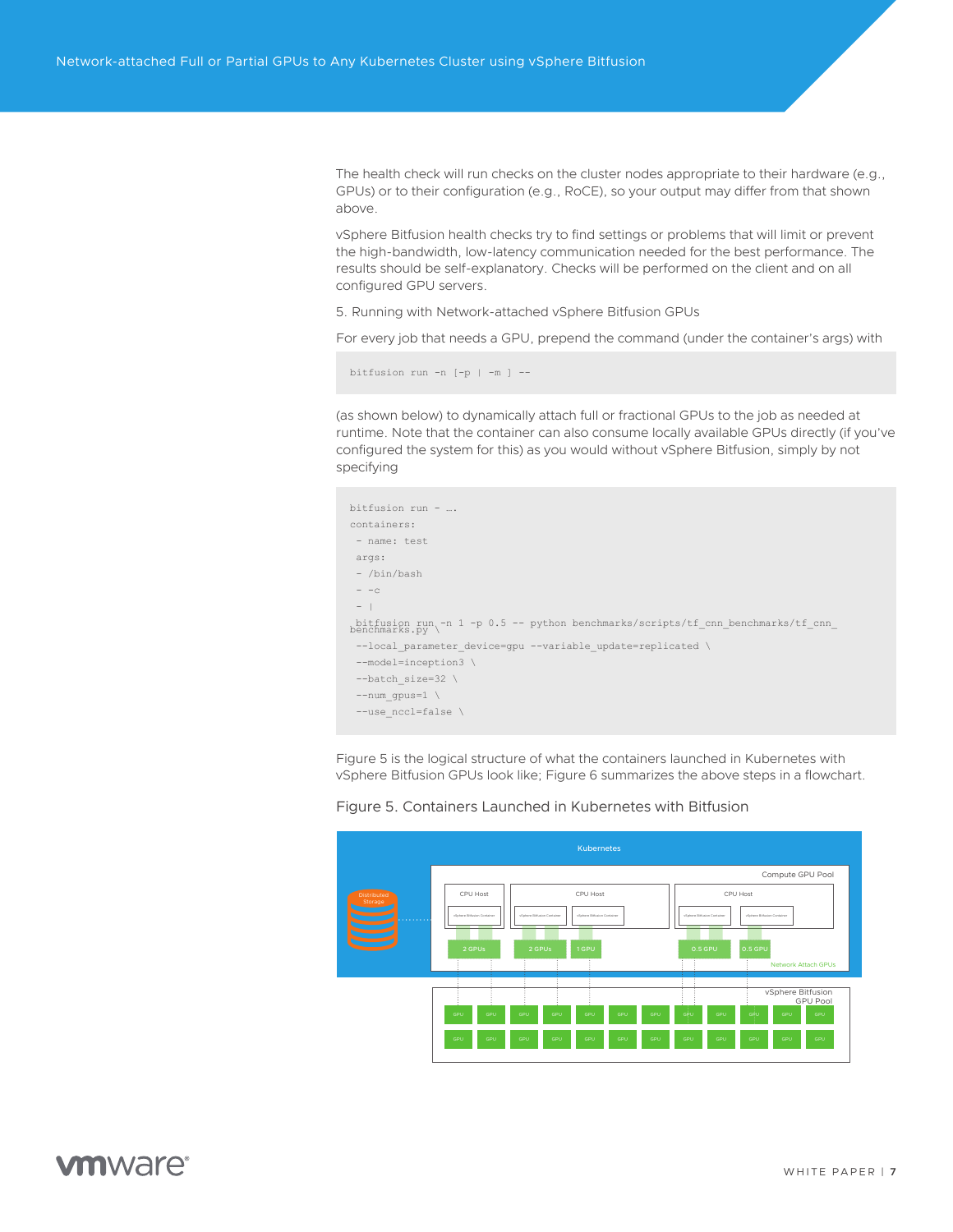<span id="page-6-0"></span>The health check will run checks on the cluster nodes appropriate to their hardware (e.g., GPUs) or to their configuration (e.g., RoCE), so your output may differ from that shown above.

vSphere Bitfusion health checks try to find settings or problems that will limit or prevent the high-bandwidth, low-latency communication needed for the best performance. The results should be self-explanatory. Checks will be performed on the client and on all configured GPU servers.

5. Running with Network-attached vSphere Bitfusion GPUs

For every job that needs a GPU, prepend the command (under the container's args) with

bitfusion run -n [-p | -m ] --

(as shown below) to dynamically attach full or fractional GPUs to the job as needed at runtime. Note that the container can also consume locally available GPUs directly (if you've configured the system for this) as you would without vSphere Bitfusion, simply by not specifying



Figure 5 is the logical structure of what the containers launched in Kubernetes with vSphere Bitfusion GPUs look like; Figure 6 summarizes the above steps in a flowchart.



Figure 5. Containers Launched in Kubernetes with Bitfusion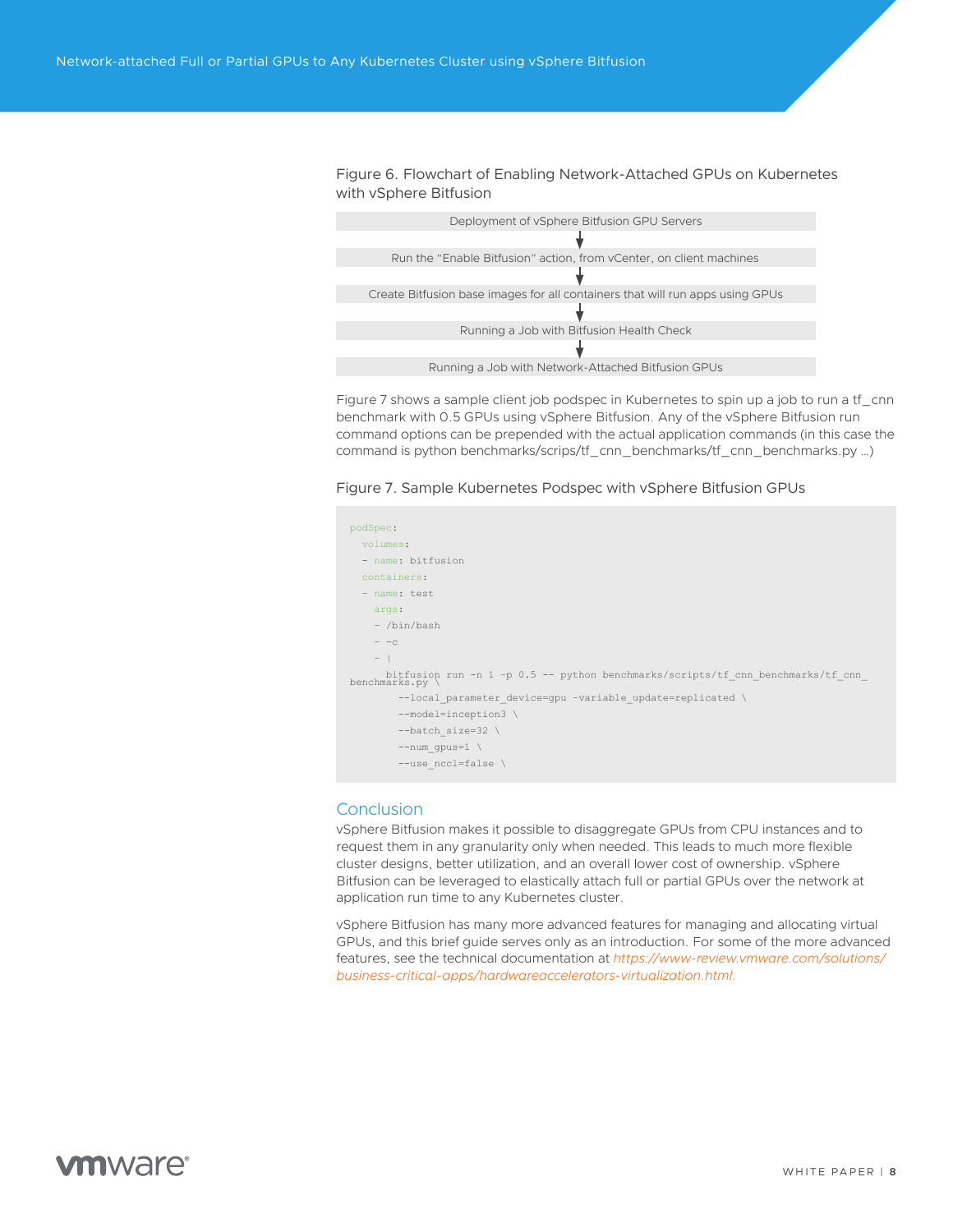<span id="page-7-0"></span>Figure 6. Flowchart of Enabling Network-Attached GPUs on Kubernetes with vSphere Bitfusion

| Deployment of vSphere Bitfusion GPU Servers                                   |
|-------------------------------------------------------------------------------|
|                                                                               |
| Run the "Enable Bitfusion" action, from vCenter, on client machines           |
|                                                                               |
| Create Bitfusion base images for all containers that will run apps using GPUs |
|                                                                               |
| Running a Job with Bitfusion Health Check                                     |
|                                                                               |
| Running a Job with Network-Attached Bitfusion GPUs                            |
|                                                                               |

Figure 7 shows a sample client job podspec in Kubernetes to spin up a job to run a tf\_cnn benchmark with 0.5 GPUs using vSphere Bitfusion. Any of the vSphere Bitfusion run command options can be prepended with the actual application commands (in this case the command is python benchmarks/scrips/tf\_cnn\_benchmarks/tf\_cnn\_benchmarks.py …)

Figure 7. Sample Kubernetes Podspec with vSphere Bitfusion GPUs



#### Conclusion

vSphere Bitfusion makes it possible to disaggregate GPUs from CPU instances and to request them in any granularity only when needed. This leads to much more flexible cluster designs, better utilization, and an overall lower cost of ownership. vSphere Bitfusion can be leveraged to elastically attach full or partial GPUs over the network at application run time to any Kubernetes cluster.

vSphere Bitfusion has many more advanced features for managing and allocating virtual GPUs, and this brief guide serves only as an introduction. For some of the more advanced features, see the technical documentation at *[https://www-review.vmware.com/solutions/](https://www-review.vmware.com/solutions/business-critical-apps/hardwareaccelerators-virtualization.html) [business-critical-apps/hardwareaccelerators-virtualization.html](https://www-review.vmware.com/solutions/business-critical-apps/hardwareaccelerators-virtualization.html)*.